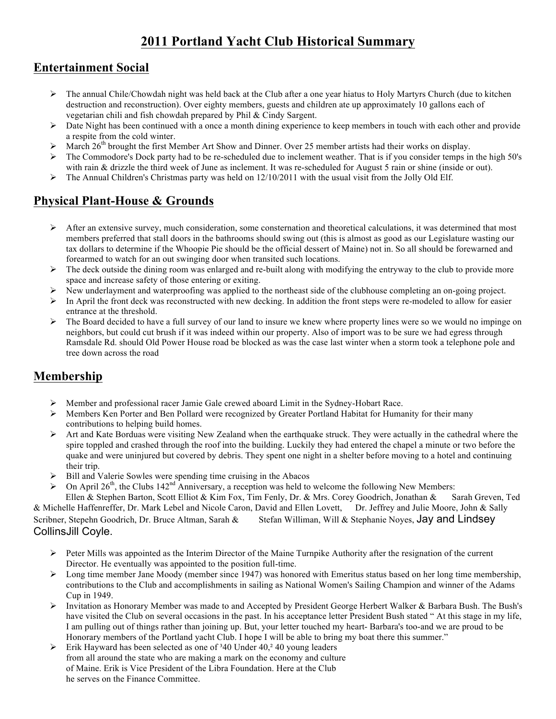# **2011 Portland Yacht Club Historical Summary**

### **Entertainment Social**

- $\triangleright$  The annual Chile/Chowdah night was held back at the Club after a one year hiatus to Holy Martyrs Church (due to kitchen destruction and reconstruction). Over eighty members, guests and children ate up approximately 10 gallons each of vegetarian chili and fish chowdah prepared by Phil & Cindy Sargent.
- $\triangleright$  Date Night has been continued with a once a month dining experience to keep members in touch with each other and provide a respite from the cold winter.
- $\triangleright$  March 26<sup>th</sup> brought the first Member Art Show and Dinner. Over 25 member artists had their works on display.
- $\triangleright$  The Commodore's Dock party had to be re-scheduled due to inclement weather. That is if you consider temps in the high 50's with rain & drizzle the third week of June as inclement. It was re-scheduled for August 5 rain or shine (inside or out).
- $\triangleright$  The Annual Children's Christmas party was held on 12/10/2011 with the usual visit from the Jolly Old Elf.

### **Physical Plant-House & Grounds**

- $\triangleright$  After an extensive survey, much consideration, some consternation and theoretical calculations, it was determined that most members preferred that stall doors in the bathrooms should swing out (this is almost as good as our Legislature wasting our tax dollars to determine if the Whoopie Pie should be the official dessert of Maine) not in. So all should be forewarned and forearmed to watch for an out swinging door when transited such locations.
- $\triangleright$  The deck outside the dining room was enlarged and re-built along with modifying the entryway to the club to provide more space and increase safety of those entering or exiting.
- $\triangleright$  New underlayment and waterproofing was applied to the northeast side of the clubhouse completing an on-going project.
- $\triangleright$  In April the front deck was reconstructed with new decking. In addition the front steps were re-modeled to allow for easier entrance at the threshold.
- $\triangleright$  The Board decided to have a full survey of our land to insure we knew where property lines were so we would no impinge on neighbors, but could cut brush if it was indeed within our property. Also of import was to be sure we had egress through Ramsdale Rd. should Old Power House road be blocked as was the case last winter when a storm took a telephone pole and tree down across the road

## **Membership**

- $\triangleright$  Member and professional racer Jamie Gale crewed aboard Limit in the Sydney-Hobart Race.
- Ø Members Ken Porter and Ben Pollard were recognized by Greater Portland Habitat for Humanity for their many contributions to helping build homes.
- $\triangleright$  Art and Kate Borduas were visiting New Zealand when the earthquake struck. They were actually in the cathedral where the spire toppled and crashed through the roof into the building. Luckily they had entered the chapel a minute or two before the quake and were uninjured but covered by debris. They spent one night in a shelter before moving to a hotel and continuing their trip.
- $\triangleright$  Bill and Valerie Sowles were spending time cruising in the Abacos
- On April  $26<sup>th</sup>$ , the Clubs  $142<sup>nd</sup>$  Anniversary, a reception was held to welcome the following New Members:

Ellen & Stephen Barton, Scott Elliot & Kim Fox, Tim Fenly, Dr. & Mrs. Corey Goodrich, Jonathan & Sarah Greven, Ted & Michelle Haffenreffer, Dr. Mark Lebel and Nicole Caron, David and Ellen Lovett, Dr. Jeffrey and Julie Moore, John & Sally Scribner, Stepehn Goodrich, Dr. Bruce Altman, Sarah & Stefan Williman, Will & Stephanie Noyes, Jay and Lindsey CollinsJill Coyle.

- $\triangleright$  Peter Mills was appointed as the Interim Director of the Maine Turnpike Authority after the resignation of the current Director. He eventually was appointed to the position full-time.
- $\triangleright$  Long time member Jane Moody (member since 1947) was honored with Emeritus status based on her long time membership, contributions to the Club and accomplishments in sailing as National Women's Sailing Champion and winner of the Adams Cup in 1949.
- $\triangleright$  Invitation as Honorary Member was made to and Accepted by President George Herbert Walker & Barbara Bush. The Bush's have visited the Club on several occasions in the past. In his acceptance letter President Bush stated " At this stage in my life, I am pulling out of things rather than joining up. But, your letter touched my heart- Barbara's too-and we are proud to be Honorary members of the Portland yacht Club. I hope I will be able to bring my boat there this summer."
- $\triangleright$  Erik Hayward has been selected as one of <sup>3</sup>40 Under 40,<sup>2</sup> 40 young leaders from all around the state who are making a mark on the economy and culture of Maine. Erik is Vice President of the Libra Foundation. Here at the Club he serves on the Finance Committee.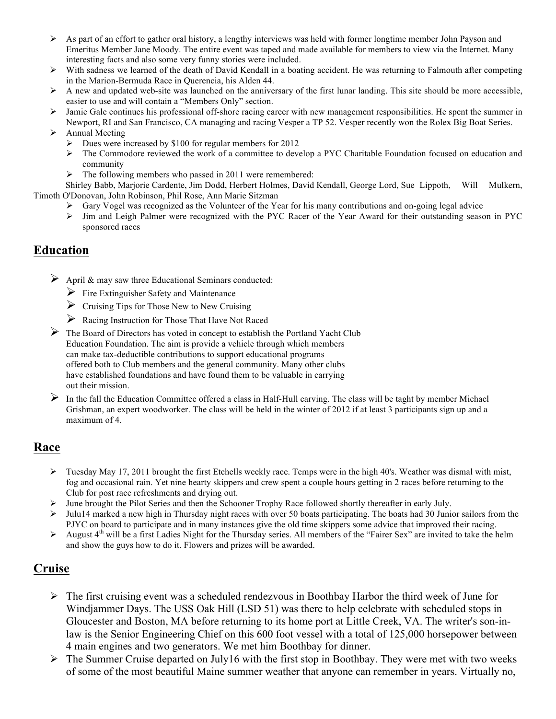- $\triangleright$  As part of an effort to gather oral history, a lengthy interviews was held with former longtime member John Payson and Emeritus Member Jane Moody. The entire event was taped and made available for members to view via the Internet. Many interesting facts and also some very funny stories were included.
- Ø With sadness we learned of the death of David Kendall in a boating accident. He was returning to Falmouth after competing in the Marion-Bermuda Race in Querencia, his Alden 44.
- $\triangleright$  A new and updated web-site was launched on the anniversary of the first lunar landing. This site should be more accessible, easier to use and will contain a "Members Only" section.
- $\triangleright$  Jamie Gale continues his professional off-shore racing career with new management responsibilities. He spent the summer in Newport, RI and San Francisco, CA managing and racing Vesper a TP 52. Vesper recently won the Rolex Big Boat Series.
- $\triangleright$  Annual Meeting
	- $\triangleright$  Dues were increased by \$100 for regular members for 2012
	- $\triangleright$  The Commodore reviewed the work of a committee to develop a PYC Charitable Foundation focused on education and community
	- $\triangleright$  The following members who passed in 2011 were remembered:

Shirley Babb, Marjorie Cardente, Jim Dodd, Herbert Holmes, David Kendall, George Lord, Sue Lippoth, Will Mulkern, Timoth O'Donovan, John Robinson, Phil Rose, Ann Marie Sitzman

- $\triangleright$  Gary Vogel was recognized as the Volunteer of the Year for his many contributions and on-going legal advice
- Ø Jim and Leigh Palmer were recognized with the PYC Racer of the Year Award for their outstanding season in PYC sponsored races

#### **Education**

- $\triangleright$  April & may saw three Educational Seminars conducted:
	- $\triangleright$  Fire Extinguisher Safety and Maintenance
	- $\triangleright$  Cruising Tips for Those New to New Cruising
	- Ø Racing Instruction for Those That Have Not Raced
- $\triangleright$  The Board of Directors has voted in concept to establish the Portland Yacht Club Education Foundation. The aim is provide a vehicle through which members can make tax-deductible contributions to support educational programs offered both to Club members and the general community. Many other clubs have established foundations and have found them to be valuable in carrying out their mission.
- $\triangleright$  In the fall the Education Committee offered a class in Half-Hull carving. The class will be taght by member Michael Grishman, an expert woodworker. The class will be held in the winter of 2012 if at least 3 participants sign up and a maximum of 4.

#### **Race**

- $\triangleright$  Tuesday May 17, 2011 brought the first Etchells weekly race. Temps were in the high 40's. Weather was dismal with mist, fog and occasional rain. Yet nine hearty skippers and crew spent a couple hours getting in 2 races before returning to the Club for post race refreshments and drying out.
- Ø June brought the Pilot Series and then the Schooner Trophy Race followed shortly thereafter in early July.
- $\triangleright$  Julu14 marked a new high in Thursday night races with over 50 boats participating. The boats had 30 Junior sailors from the PJYC on board to participate and in many instances give the old time skippers some advice that improved their racing.
- $\triangleright$  August 4<sup>th</sup> will be a first Ladies Night for the Thursday series. All members of the "Fairer Sex" are invited to take the helm and show the guys how to do it. Flowers and prizes will be awarded.

### **Cruise**

- $\triangleright$  The first cruising event was a scheduled rendezvous in Boothbay Harbor the third week of June for Windjammer Days. The USS Oak Hill (LSD 51) was there to help celebrate with scheduled stops in Gloucester and Boston, MA before returning to its home port at Little Creek, VA. The writer's son-inlaw is the Senior Engineering Chief on this 600 foot vessel with a total of 125,000 horsepower between 4 main engines and two generators. We met him Boothbay for dinner.
- $\triangleright$  The Summer Cruise departed on July16 with the first stop in Boothbay. They were met with two weeks of some of the most beautiful Maine summer weather that anyone can remember in years. Virtually no,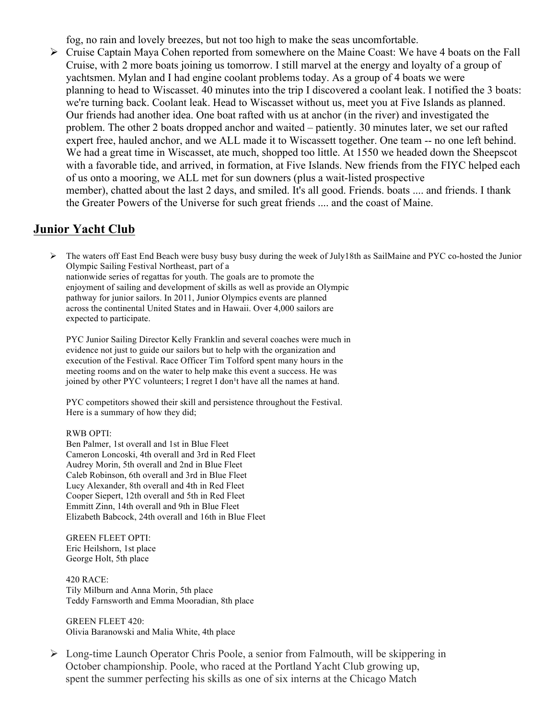fog, no rain and lovely breezes, but not too high to make the seas uncomfortable.

Ø Cruise Captain Maya Cohen reported from somewhere on the Maine Coast: We have 4 boats on the Fall Cruise, with 2 more boats joining us tomorrow. I still marvel at the energy and loyalty of a group of yachtsmen. Mylan and I had engine coolant problems today. As a group of 4 boats we were planning to head to Wiscasset. 40 minutes into the trip I discovered a coolant leak. I notified the 3 boats: we're turning back. Coolant leak. Head to Wiscasset without us, meet you at Five Islands as planned. Our friends had another idea. One boat rafted with us at anchor (in the river) and investigated the problem. The other 2 boats dropped anchor and waited – patiently. 30 minutes later, we set our rafted expert free, hauled anchor, and we ALL made it to Wiscassett together. One team -- no one left behind. We had a great time in Wiscasset, ate much, shopped too little. At 1550 we headed down the Sheepscot with a favorable tide, and arrived, in formation, at Five Islands. New friends from the FIYC helped each of us onto a mooring, we ALL met for sun downers (plus a wait-listed prospective member), chatted about the last 2 days, and smiled. It's all good. Friends. boats .... and friends. I thank the Greater Powers of the Universe for such great friends .... and the coast of Maine.

#### **Junior Yacht Club**

 $\triangleright$  The waters off East End Beach were busy busy busy during the week of July18th as SailMaine and PYC co-hosted the Junior Olympic Sailing Festival Northeast, part of a

nationwide series of regattas for youth. The goals are to promote the enjoyment of sailing and development of skills as well as provide an Olympic pathway for junior sailors. In 2011, Junior Olympics events are planned across the continental United States and in Hawaii. Over 4,000 sailors are expected to participate.

PYC Junior Sailing Director Kelly Franklin and several coaches were much in evidence not just to guide our sailors but to help with the organization and execution of the Festival. Race Officer Tim Tolford spent many hours in the meeting rooms and on the water to help make this event a success. He was joined by other PYC volunteers; I regret I don't have all the names at hand.

PYC competitors showed their skill and persistence throughout the Festival. Here is a summary of how they did;

#### RWB OPTI:

Ben Palmer, 1st overall and 1st in Blue Fleet Cameron Loncoski, 4th overall and 3rd in Red Fleet Audrey Morin, 5th overall and 2nd in Blue Fleet Caleb Robinson, 6th overall and 3rd in Blue Fleet Lucy Alexander, 8th overall and 4th in Red Fleet Cooper Siepert, 12th overall and 5th in Red Fleet Emmitt Zinn, 14th overall and 9th in Blue Fleet Elizabeth Babcock, 24th overall and 16th in Blue Fleet

GREEN FLEET OPTI: Eric Heilshorn, 1st place George Holt, 5th place

420 RACE: Tily Milburn and Anna Morin, 5th place Teddy Farnsworth and Emma Mooradian, 8th place

GREEN FLEET 420: Olivia Baranowski and Malia White, 4th place

 $\triangleright$  Long-time Launch Operator Chris Poole, a senior from Falmouth, will be skippering in October championship. Poole, who raced at the Portland Yacht Club growing up, spent the summer perfecting his skills as one of six interns at the Chicago Match